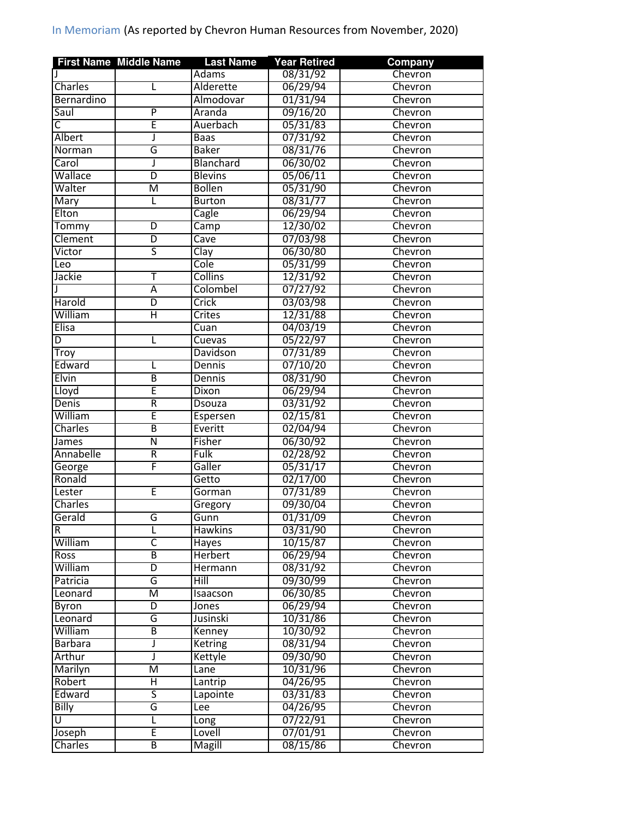|                         | <b>First Name Middle Name</b> | <b>Last Name</b> | <b>Year Retired</b>  | <b>Company</b> |
|-------------------------|-------------------------------|------------------|----------------------|----------------|
|                         |                               | Adams            | 08/31/92             | Chevron        |
| Charles                 | L                             | Alderette        | 06/29/94             | Chevron        |
| Bernardino              |                               | Almodovar        | 01/31/94             | Chevron        |
| Saul                    | P                             | Aranda           | 09/16/20             | Chevron        |
| $\overline{\mathsf{C}}$ | Ē                             | Auerbach         | 05/31/83             | Chevron        |
| <b>Albert</b>           | J                             | <b>Baas</b>      | 07/31/92             | Chevron        |
| Norman                  | G                             | <b>Baker</b>     | 08/31/76             | Chevron        |
| Carol                   | J                             | <b>Blanchard</b> | 06/30/02             | Chevron        |
| Wallace                 | D                             | <b>Blevins</b>   | 05/06/11             | Chevron        |
| Walter                  | $\overline{\mathsf{M}}$       | <b>Bollen</b>    | 05/31/90             | Chevron        |
| Mary                    | L                             | <b>Burton</b>    | 08/31/77             | Chevron        |
| Elton                   |                               | Cagle            | 06/29/94             | Chevron        |
| Tommy                   | D                             | Camp             | 12/30/02             | Chevron        |
| Clement                 | D                             | Cave             | 07/03/98             | Chevron        |
| Victor                  | $\overline{\mathsf{s}}$       | Clay             | 06/30/80             | Chevron        |
| Leo                     |                               | Cole             | 05/31/99             | Chevron        |
| Jackie                  | т                             | Collins          | 12/31/92             | Chevron        |
|                         | $\overline{A}$                | Colombel         | 07/27/92             | Chevron        |
| Harold                  | D                             | Crick            | 03/03/98             | Chevron        |
| William                 | Η                             | Crites           | 12/31/88             | Chevron        |
| <b>Elisa</b>            |                               | Cuan             | 04/03/19             | Chevron        |
| D                       | L                             | Cuevas           | 05/22/97             | Chevron        |
| Troy                    |                               | Davidson         | 07/31/89             | Chevron        |
| Edward                  | L                             | Dennis           | 07/10/20             | Chevron        |
| Elvin                   | $\overline{\mathsf{B}}$       | Dennis           | 08/31/90             | Chevron        |
| Lloyd                   | Ē                             | Dixon            | 06/29/94             | Chevron        |
| <b>Denis</b>            | $\overline{\mathsf{R}}$       | <b>Dsouza</b>    | 03/31/92             | Chevron        |
| William                 | Ē                             | Espersen         | 02/15/81             | Chevron        |
| Charles                 | $\overline{\mathsf{B}}$       | Everitt          | 02/04/94             | Chevron        |
| James                   | $\overline{\mathsf{N}}$       | Fisher           | 06/30/92             | Chevron        |
| Annabelle               | R                             | Fulk             |                      | Chevron        |
|                         | F                             | Galler           | 02/28/92             | Chevron        |
| George<br>Ronald        |                               |                  | 05/31/17             |                |
|                         |                               | Getto            | 02/17/00             | Chevron        |
| Lester                  | Ē                             | Gorman           | 07/31/89             | Chevron        |
| Charles                 |                               | Gregory          | 09/30/04<br>01/31/09 | Chevron        |
| Gerald                  | G                             | Gunn             |                      | Chevron        |
| $\overline{R}$          | L                             | Hawkins          | 03/31/90             | Chevron        |
| William                 | C                             | Hayes            | 10/15/87             | Chevron        |
| <b>Ross</b>             | В                             | <b>Herbert</b>   | 06/29/94             | Chevron        |
| William                 | D                             | Hermann          | 08/31/92             | Chevron        |
| Patricia                | G                             | Hill             | 09/30/99             | Chevron        |
| Leonard                 | M                             | Isaacson         | 06/30/85             | Chevron        |
| Byron                   | $\overline{D}$                | Jones            | 06/29/94             | Chevron        |
| Leonard                 | G                             | Jusinski         | 10/31/86             | Chevron        |
| William                 | В                             | Kenney           | 10/30/92             | Chevron        |
| <b>Barbara</b>          | J                             | Ketring          | 08/31/94             | Chevron        |
| Arthur                  | J                             | Kettyle          | 09/30/90             | Chevron        |
| Marilyn                 | $\overline{\mathsf{M}}$       | Lane             | 10/31/96             | Chevron        |
| Robert                  | Η                             | Lantrip          | 04/26/95             | Chevron        |
| Edward                  | ς                             | Lapointe         | 03/31/83             | Chevron        |
| Billy                   | G                             | Lee              | 04/26/95             | Chevron        |
| U                       | L                             | Long             | 07/22/91             | Chevron        |
| Joseph                  | Ē                             | Lovell           | 07/01/91             | Chevron        |
| Charles                 | B                             | <b>Magill</b>    | 08/15/86             | Chevron        |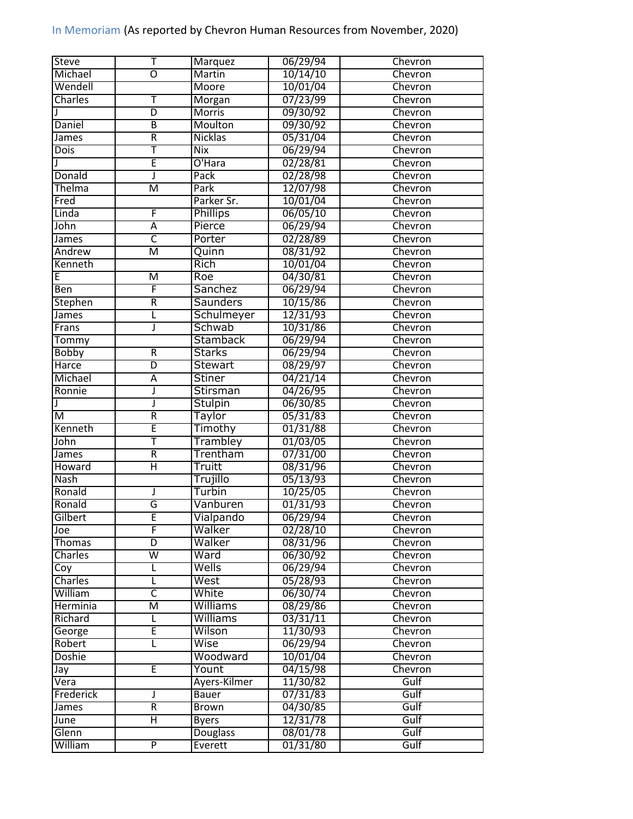| <b>Steve</b>   | Т                       | <b>Marquez</b>  | 06/29/94 | Chevron |
|----------------|-------------------------|-----------------|----------|---------|
| Michael        | O                       | Martin          | 10/14/10 | Chevron |
| Wendell        |                         | Moore           | 10/01/04 | Chevron |
| Charles        | Τ                       | Morgan          | 07/23/99 | Chevron |
|                | $\overline{\mathsf{D}}$ | <b>Morris</b>   | 09/30/92 | Chevron |
| Daniel         | $\overline{B}$          | Moulton         | 09/30/92 | Chevron |
| James          | R                       | Nicklas         | 05/31/04 | Chevron |
| Dois           | Ŧ                       | Nix             | 06/29/94 | Chevron |
|                | Ē                       | O'Hara          | 02/28/81 | Chevron |
| Donald         | J                       | Pack            | 02/28/98 | Chevron |
| <b>Thelma</b>  | $\overline{\mathsf{M}}$ | Park            | 12/07/98 | Chevron |
| Fred           |                         | Parker Sr.      | 10/01/04 | Chevron |
| Linda          | F                       | Phillips        | 06/05/10 | Chevron |
| John           | A                       | Pierce          | 06/29/94 | Chevron |
| James          | $\overline{\mathsf{C}}$ | Porter          | 02/28/89 | Chevron |
| Andrew         | $\overline{\mathsf{M}}$ | Quinn           | 08/31/92 | Chevron |
| Kenneth        |                         | <b>Rich</b>     | 10/01/04 | Chevron |
| E              | M                       | Roe             | 04/30/81 | Chevron |
| Ben            | F                       | <b>Sanchez</b>  | 06/29/94 | Chevron |
| <b>Stephen</b> | $\overline{\mathsf{R}}$ | <b>Saunders</b> | 10/15/86 | Chevron |
| James          |                         | Schulmeyer      | 12/31/93 | Chevron |
| Frans          | J                       | Schwab          | 10/31/86 | Chevron |
| Tommy          |                         | <b>Stamback</b> | 06/29/94 | Chevron |
| <b>Bobby</b>   | R                       | <b>Starks</b>   | 06/29/94 | Chevron |
|                | $\overline{\mathsf{D}}$ |                 |          |         |
| Harce          |                         | <b>Stewart</b>  | 08/29/97 | Chevron |
| Michael        | Ā                       | <b>Stiner</b>   | 04/21/14 | Chevron |
| Ronnie         | J                       | <b>Stirsman</b> | 04/26/95 | Chevron |
|                | J                       | <b>Stulpin</b>  | 06/30/85 | Chevron |
| M              | $\overline{\mathsf{R}}$ | Taylor          | 05/31/83 | Chevron |
| Kenneth        | Ē                       | Timothy         | 01/31/88 | Chevron |
| John           | Ŧ                       | Trambley        | 01/03/05 | Chevron |
| <b>James</b>   | $\overline{\mathsf{R}}$ | Trentham        | 07/31/00 | Chevron |
| Howard         | $\overline{\sf H}$      | Truitt          | 08/31/96 | Chevron |
| <b>Nash</b>    |                         | Trujillo        | 05/13/93 | Chevron |
| Ronald         | J                       | Turbin          | 10/25/05 | Chevron |
| Ronald         | G                       | Vanburen        | 01/31/93 | Chevron |
| Gilbert        | E                       | Vialpando       | 06/29/94 | Chevron |
| Joe            | F                       | Walker          | 02/28/10 | Chevron |
| <b>Thomas</b>  | D                       | Walker          | 08/31/96 | Chevron |
| Charles        | W                       | Ward            | 06/30/92 | Chevron |
| Coy            | L                       | Wells           | 06/29/94 | Chevron |
| Charles        | L                       | West            | 05/28/93 | Chevron |
| William        | $\overline{\mathsf{C}}$ | White           | 06/30/74 | Chevron |
| Herminia       | $\overline{\mathsf{M}}$ | Williams        | 08/29/86 | Chevron |
| Richard        |                         | Williams        | 03/31/11 | Chevron |
| George         | E                       | Wilson          | 11/30/93 | Chevron |
| Robert         | L                       | Wise            | 06/29/94 | Chevron |
| <b>Doshie</b>  |                         | Woodward        | 10/01/04 | Chevron |
| Jay            | Έ                       | Yount           | 04/15/98 | Chevron |
| Vera           |                         | Ayers-Kilmer    | 11/30/82 | Gulf    |
| Frederick      | J                       | Bauer           | 07/31/83 | Gulf    |
| James          | $\overline{\mathsf{R}}$ | Brown           | 04/30/85 | Gulf    |
| June           | Η                       | <b>Byers</b>    | 12/31/78 | Gulf    |
| Glenn          |                         | <b>Douglass</b> | 08/01/78 | Gulf    |
| William        | $\overline{P}$          | Everett         | 01/31/80 | Gulf    |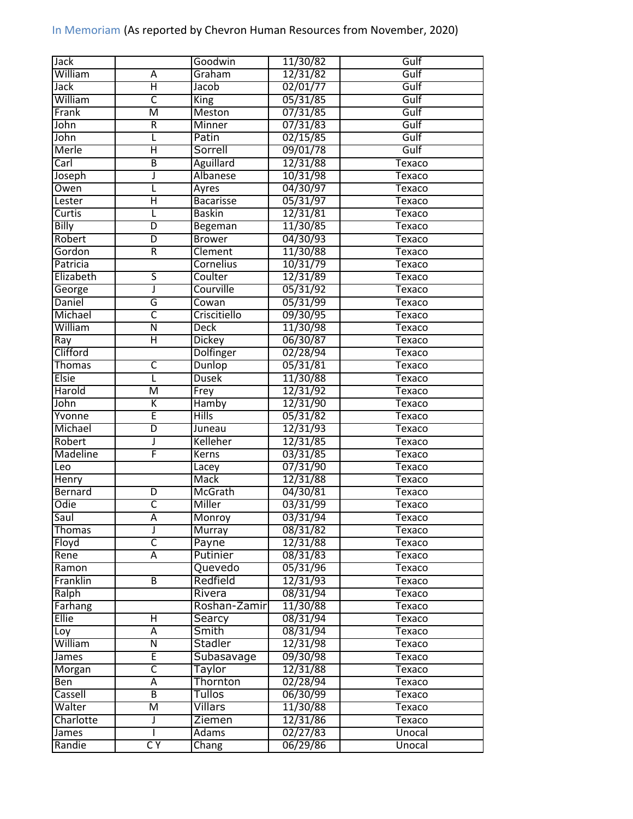| Jack            |                         | Goodwin          | 11/30/82 | Gulf          |
|-----------------|-------------------------|------------------|----------|---------------|
| William         | Α                       | Graham           | 12/31/82 | Gulf          |
| Jack            | Η                       | Jacob            | 02/01/77 | Gulf          |
| William         | C                       | <b>King</b>      | 05/31/85 | Gulf          |
| Frank           | M                       | <b>Meston</b>    | 07/31/85 | Gulf          |
| John            | $\overline{R}$          | Minner           | 07/31/83 | Gulf          |
| John            | L                       | Patin            | 02/15/85 | Gulf          |
| Merle           | Η                       | Sorrell          | 09/01/78 | Gulf          |
| Carl            | B                       | Aguillard        | 12/31/88 | <b>Texaco</b> |
| Joseph          | J                       | Albanese         | 10/31/98 | <b>Texaco</b> |
| Owen            | L                       | Ayres            | 04/30/97 | Texaco        |
| Lester          | Ή                       | <b>Bacarisse</b> | 05/31/97 | Texaco        |
| Curtis          | L                       | <b>Baskin</b>    | 12/31/81 | Texaco        |
| <b>Billy</b>    | $\overline{D}$          | Begeman          | 11/30/85 | Texaco        |
| Robert          | $\overline{\mathsf{D}}$ | <b>Brower</b>    | 04/30/93 | Texaco        |
| Gordon          | $\overline{\mathsf{R}}$ | Clement          | 11/30/88 | Texaco        |
| Patricia        |                         | <b>Cornelius</b> | 10/31/79 | <b>Texaco</b> |
| Elizabeth       | 5                       | Coulter          | 12/31/89 | Texaco        |
| George          | J                       | Courville        | 05/31/92 | <b>Texaco</b> |
| Daniel          | G                       | Cowan            | 05/31/99 | Texaco        |
| Michael         | C                       | Criscitiello     | 09/30/95 | Texaco        |
| William         | $\overline{\mathsf{N}}$ | <b>Deck</b>      | 11/30/98 | <b>Texaco</b> |
| Ray             | Η                       | Dickey           | 06/30/87 | Texaco        |
| Clifford        |                         | Dolfinger        |          |               |
|                 |                         |                  | 02/28/94 | Texaco        |
| <b>Thomas</b>   | $\overline{\mathsf{C}}$ | Dunlop           | 05/31/81 | Texaco        |
| <b>Elsie</b>    | L                       | <b>Dusek</b>     | 11/30/88 | Texaco        |
| Harold          | $\overline{\mathsf{M}}$ | Frey             | 12/31/92 | Texaco        |
| John            | K                       | Hamby            | 12/31/90 | Texaco        |
| Yvonne          | Ē                       | <b>Hills</b>     | 05/31/82 | Texaco        |
| Michael         | $\overline{\mathsf{D}}$ | Juneau           | 12/31/93 | <b>Texaco</b> |
| Robert          | J                       | Kelleher         | 12/31/85 | <b>Texaco</b> |
| <b>Madeline</b> | F                       | Kerns            | 03/31/85 | Texaco        |
| Leo             |                         | Lacey            | 07/31/90 | Texaco        |
| <b>Henry</b>    |                         | Mack             | 12/31/88 | Texaco        |
| Bernard         | $\overline{\mathsf{D}}$ | McGrath          | 04/30/81 | Texaco        |
| Odie            | $\overline{\mathsf{C}}$ | Miller           | 03/31/99 | Texaco        |
| Saul            | Ā                       | Monroy           | 03/31/94 | Texaco        |
| Thomas          | J                       | Murray           | 08/31/82 | Texaco        |
| Floyd           | $\overline{\mathsf{C}}$ | Payne            | 12/31/88 | Texaco        |
| Rene            | Ā                       | Putinier         | 08/31/83 | Texaco        |
| Ramon           |                         | Quevedo          | 05/31/96 | Texaco        |
| Franklin        | $\overline{B}$          | Redfield         | 12/31/93 | Texaco        |
| Ralph           |                         | Rivera           | 08/31/94 | Texaco        |
| Farhang         |                         | Roshan-Zamir     | 11/30/88 | Texaco        |
| <b>Ellie</b>    | Η                       | Searcy           | 08/31/94 | Texaco        |
| Loy             | $\overline{\mathsf{A}}$ | Smith            | 08/31/94 | Texaco        |
| William         | $\overline{\mathsf{N}}$ | Stadler          | 12/31/98 | <b>Texaco</b> |
| James           | Ē                       | Subasavage       | 09/30/98 | Texaco        |
| Morgan          | $\overline{\mathsf{C}}$ | <b>Taylor</b>    | 12/31/88 | Texaco        |
| Ben             | Ā                       | Thornton         | 02/28/94 | Texaco        |
| Cassell         | $\overline{\mathsf{B}}$ | Tullos           | 06/30/99 | Texaco        |
| Walter          | $\overline{\mathsf{M}}$ | Villars          | 11/30/88 | Texaco        |
| Charlotte       | J                       | Ziemen           | 12/31/86 | Texaco        |
| James           |                         | Adams            | 02/27/83 | Unocal        |
| Randie          | CY                      | Chang            | 06/29/86 | Unocal        |
|                 |                         |                  |          |               |